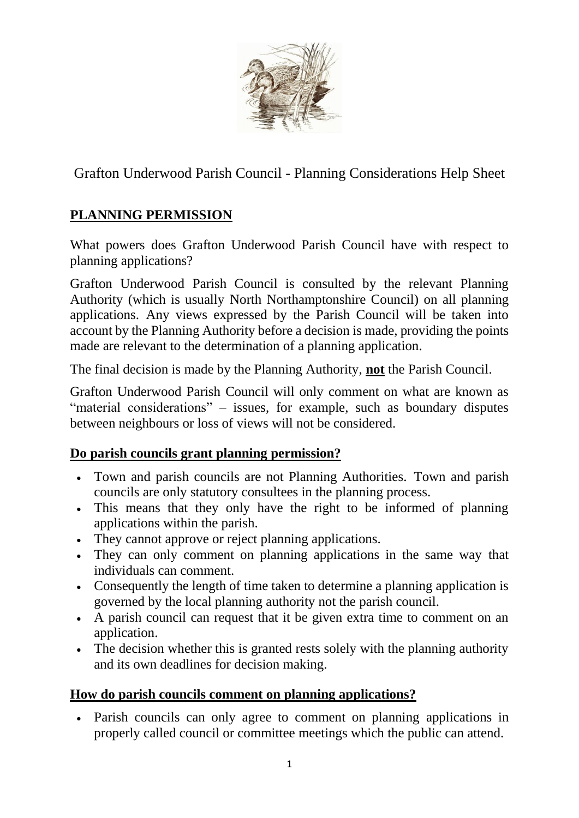

Grafton Underwood Parish Council - Planning Considerations Help Sheet

## **PLANNING PERMISSION**

What powers does Grafton Underwood Parish Council have with respect to planning applications?

Grafton Underwood Parish Council is consulted by the relevant Planning Authority (which is usually North Northamptonshire Council) on all planning applications. Any views expressed by the Parish Council will be taken into account by the Planning Authority before a decision is made, providing the points made are relevant to the determination of a planning application.

The final decision is made by the Planning Authority, **not** the Parish Council.

Grafton Underwood Parish Council will only comment on what are known as "material considerations" – issues, for example, such as boundary disputes between neighbours or loss of views will not be considered.

#### **Do parish councils grant planning permission?**

- Town and parish councils are not Planning Authorities. Town and parish councils are only statutory consultees in the planning process.
- This means that they only have the right to be informed of planning applications within the parish.
- They cannot approve or reject planning applications.
- They can only comment on planning applications in the same way that individuals can comment.
- Consequently the length of time taken to determine a planning application is governed by the local planning authority not the parish council.
- A parish council can request that it be given extra time to comment on an application.
- The decision whether this is granted rests solely with the planning authority and its own deadlines for decision making.

### **How do parish councils comment on planning applications?**

• Parish councils can only agree to comment on planning applications in properly called council or committee meetings which the public can attend.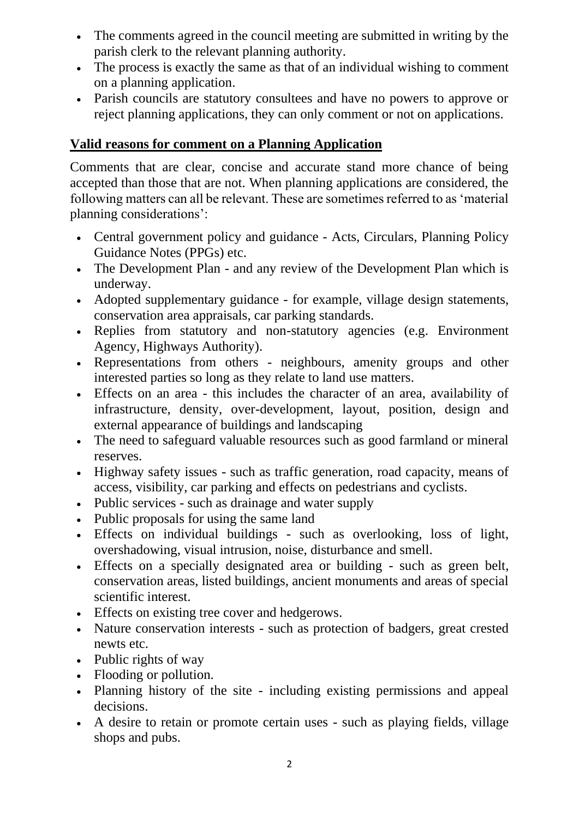- The comments agreed in the council meeting are submitted in writing by the parish clerk to the relevant planning authority.
- The process is exactly the same as that of an individual wishing to comment on a planning application.
- Parish councils are statutory consultees and have no powers to approve or reject planning applications, they can only comment or not on applications.

#### **Valid reasons for comment on a Planning Application**

Comments that are clear, concise and accurate stand more chance of being accepted than those that are not. When planning applications are considered, the following matters can all be relevant. These are sometimes referred to as 'material planning considerations':

- Central government policy and guidance Acts, Circulars, Planning Policy Guidance Notes (PPGs) etc.
- The Development Plan and any review of the Development Plan which is underway.
- Adopted supplementary guidance for example, village design statements, conservation area appraisals, car parking standards.
- Replies from statutory and non-statutory agencies (e.g. Environment Agency, Highways Authority).
- Representations from others neighbours, amenity groups and other interested parties so long as they relate to land use matters.
- Effects on an area this includes the character of an area, availability of infrastructure, density, over-development, layout, position, design and external appearance of buildings and landscaping
- The need to safeguard valuable resources such as good farmland or mineral reserves.
- Highway safety issues such as traffic generation, road capacity, means of access, visibility, car parking and effects on pedestrians and cyclists.
- Public services such as drainage and water supply
- Public proposals for using the same land
- Effects on individual buildings such as overlooking, loss of light, overshadowing, visual intrusion, noise, disturbance and smell.
- Effects on a specially designated area or building such as green belt, conservation areas, listed buildings, ancient monuments and areas of special scientific interest.
- Effects on existing tree cover and hedgerows.
- Nature conservation interests such as protection of badgers, great crested newts etc.
- Public rights of way
- Flooding or pollution.
- Planning history of the site including existing permissions and appeal decisions.
- A desire to retain or promote certain uses such as playing fields, village shops and pubs.